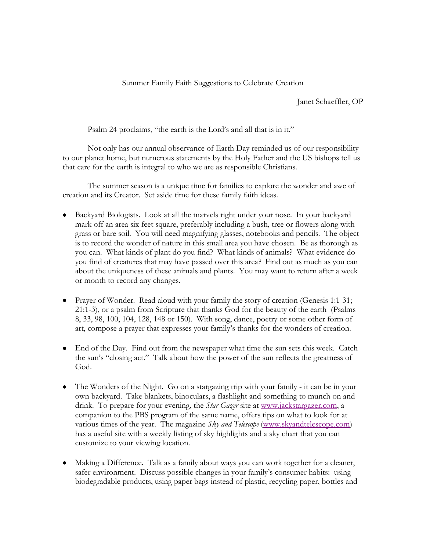Summer Family Faith Suggestions to Celebrate Creation

Janet Schaeffler, OP

Psalm 24 proclaims, "the earth is the Lord's and all that is in it."

Not only has our annual observance of Earth Day reminded us of our responsibility to our planet home, but numerous statements by the Holy Father and the US bishops tell us that care for the earth is integral to who we are as responsible Christians.

The summer season is a unique time for families to explore the wonder and awe of creation and its Creator. Set aside time for these family faith ideas.

- Backyard Biologists. Look at all the marvels right under your nose. In your backyard mark off an area six feet square, preferably including a bush, tree or flowers along with grass or bare soil. You will need magnifying glasses, notebooks and pencils. The object is to record the wonder of nature in this small area you have chosen. Be as thorough as you can. What kinds of plant do you find? What kinds of animals? What evidence do you find of creatures that may have passed over this area? Find out as much as you can about the uniqueness of these animals and plants. You may want to return after a week or month to record any changes.
- Prayer of Wonder. Read aloud with your family the story of creation (Genesis 1:1-31; 21:1-3), or a psalm from Scripture that thanks God for the beauty of the earth (Psalms 8, 33, 98, 100, 104, 128, 148 or 150). With song, dance, poetry or some other form of art, compose a prayer that expresses your family's thanks for the wonders of creation.
- End of the Day. Find out from the newspaper what time the sun sets this week. Catch the sun's "closing act." Talk about how the power of the sun reflects the greatness of God.
- The Wonders of the Night. Go on a stargazing trip with your family it can be in your own backyard. Take blankets, binoculars, a flashlight and something to munch on and drink. To prepare for your evening, the *Star Gazer* site at [www.jackstargazer.com,](http://www.jackstargazer.com/) a companion to the PBS program of the same name, offers tips on what to look for at various times of the year. The magazine *Sky and Telescope* [\(www.skyandtelescope.com\)](http://www.skyandtelescope.com/) has a useful site with a weekly listing of sky highlights and a sky chart that you can customize to your viewing location.
- Making a Difference. Talk as a family about ways you can work together for a cleaner, safer environment. Discuss possible changes in your family's consumer habits: using biodegradable products, using paper bags instead of plastic, recycling paper, bottles and